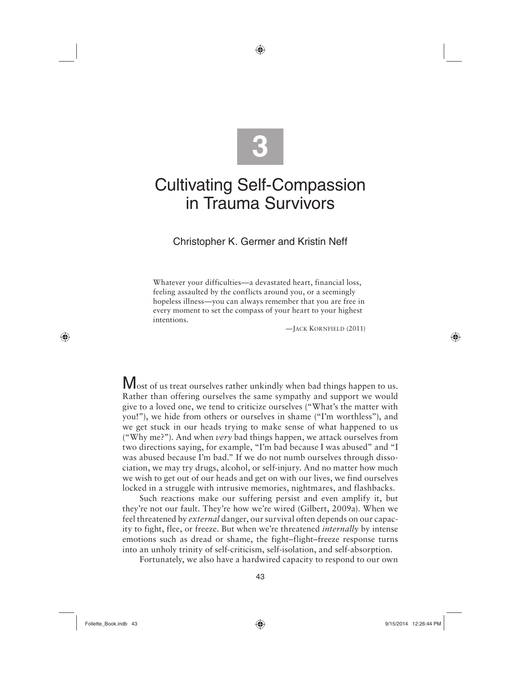

# Cultivating Self-Compassion in Trauma Survivors

Christopher K. Germer and Kristin Neff

Whatever your difficulties—a devastated heart, financial loss, feeling assaulted by the conflicts around you, or a seemingly hopeless illness—you can always remember that you are free in every moment to set the compass of your heart to your highest intentions.

—JACK KORNFIELD (2011)

Most of us treat ourselves rather unkindly when bad things happen to us. Rather than offering ourselves the same sympathy and support we would give to a loved one, we tend to criticize ourselves ("What's the matter with you!"), we hide from others or ourselves in shame ("I'm worthless"), and we get stuck in our heads trying to make sense of what happened to us ("Why me?"). And when *very* bad things happen, we attack ourselves from two directions saying, for example, "I'm bad because I was abused" and "I was abused because I'm bad." If we do not numb ourselves through dissociation, we may try drugs, alcohol, or self-injury. And no matter how much we wish to get out of our heads and get on with our lives, we find ourselves locked in a struggle with intrusive memories, nightmares, and flashbacks.

Such reactions make our suffering persist and even amplify it, but they're not our fault. They're how we're wired (Gilbert, 2009a). When we feel threatened by *external* danger, our survival often depends on our capacity to fight, flee, or freeze. But when we're threatened *internally* by intense emotions such as dread or shame, the fight–flight–freeze response turns into an unholy trinity of self-criticism, self-isolation, and self-absorption.

Fortunately, we also have a hardwired capacity to respond to our own

 $\bigoplus$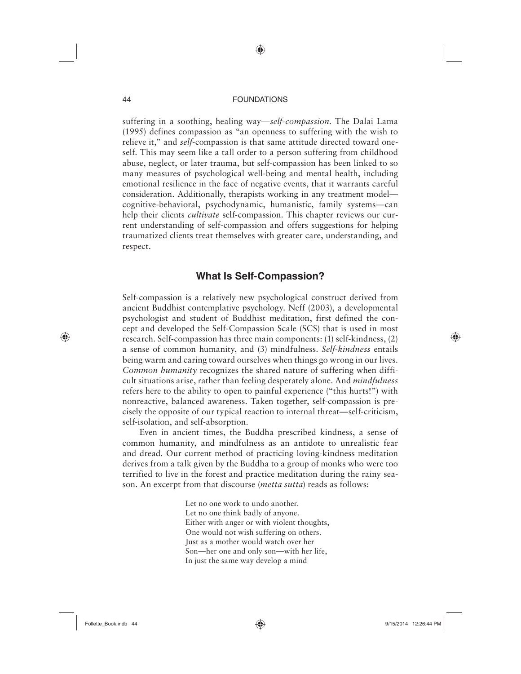♠

suffering in a soothing, healing way—*self-compassion*. The Dalai Lama (1995) defines compassion as "an openness to suffering with the wish to relieve it," and *self*-compassion is that same attitude directed toward oneself. This may seem like a tall order to a person suffering from childhood abuse, neglect, or later trauma, but self-compassion has been linked to so many measures of psychological well-being and mental health, including emotional resilience in the face of negative events, that it warrants careful consideration. Additionally, therapists working in any treatment model cognitive-behavioral, psychodynamic, humanistic, family systems—can help their clients *cultivate* self-compassion. This chapter reviews our current understanding of self-compassion and offers suggestions for helping traumatized clients treat themselves with greater care, understanding, and respect.

# **What Is Self-Compassion?**

Self-compassion is a relatively new psychological construct derived from ancient Buddhist contemplative psychology. Neff (2003), a developmental psychologist and student of Buddhist meditation, first defined the concept and developed the Self-Compassion Scale (SCS) that is used in most research. Self-compassion has three main components: (1) self-kindness, (2) a sense of common humanity, and (3) mindfulness. *Self-kindness* entails being warm and caring toward ourselves when things go wrong in our lives. *Common humanity* recognizes the shared nature of suffering when difficult situations arise, rather than feeling desperately alone. And *mindfulness* refers here to the ability to open to painful experience ("this hurts!") with nonreactive, balanced awareness. Taken together, self-compassion is precisely the opposite of our typical reaction to internal threat—self-criticism, self-isolation, and self-absorption.

Even in ancient times, the Buddha prescribed kindness, a sense of common humanity, and mindfulness as an antidote to unrealistic fear and dread. Our current method of practicing loving-kindness meditation derives from a talk given by the Buddha to a group of monks who were too terrified to live in the forest and practice meditation during the rainy season. An excerpt from that discourse (*metta sutta*) reads as follows:

> Let no one work to undo another. Let no one think badly of anyone. Either with anger or with violent thoughts, One would not wish suffering on others. Just as a mother would watch over her Son—her one and only son—with her life, In just the same way develop a mind

⊕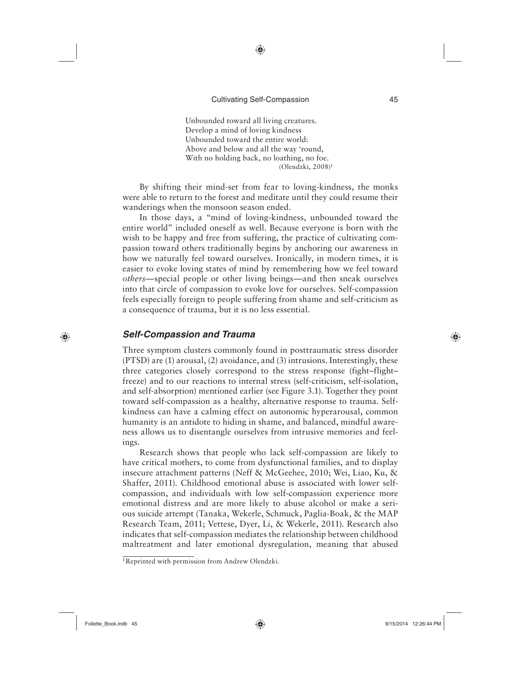♠

Unbounded toward all living creatures. Develop a mind of loving kindness Unbounded toward the entire world: Above and below and all the way 'round, With no holding back, no loathing, no foe. (Olendzki, 2008)<sup>1</sup>

By shifting their mind-set from fear to loving-kindness, the monks were able to return to the forest and meditate until they could resume their wanderings when the monsoon season ended.

In those days, a "mind of loving-kindness, unbounded toward the entire world" included oneself as well. Because everyone is born with the wish to be happy and free from suffering, the practice of cultivating compassion toward others traditionally begins by anchoring our awareness in how we naturally feel toward ourselves. Ironically, in modern times, it is easier to evoke loving states of mind by remembering how we feel toward *others*—special people or other living beings—and then sneak ourselves into that circle of compassion to evoke love for ourselves. Self-compassion feels especially foreign to people suffering from shame and self-criticism as a consequence of trauma, but it is no less essential.

# **Self-Compassion and Trauma**

Three symptom clusters commonly found in posttraumatic stress disorder (PTSD) are (1) arousal, (2) avoidance, and (3) intrusions. Interestingly, these three categories closely correspond to the stress response (fight–flight– freeze) and to our reactions to internal stress (self-criticism, self-isolation, and self-absorption) mentioned earlier (see Figure 3.1). Together they point toward self-compassion as a healthy, alternative response to trauma. Selfkindness can have a calming effect on autonomic hyperarousal, common humanity is an antidote to hiding in shame, and balanced, mindful awareness allows us to disentangle ourselves from intrusive memories and feelings.

Research shows that people who lack self-compassion are likely to have critical mothers, to come from dysfunctional families, and to display insecure attachment patterns (Neff & McGeehee, 2010; Wei, Liao, Ku, & Shaffer, 2011). Childhood emotional abuse is associated with lower selfcompassion, and individuals with low self-compassion experience more emotional distress and are more likely to abuse alcohol or make a serious suicide attempt (Tanaka, Wekerle, Schmuck, Paglia-Boak, & the MAP Research Team, 2011; Vettese, Dyer, Li, & Wekerle, 2011). Research also indicates that self-compassion mediates the relationship between childhood maltreatment and later emotional dysregulation, meaning that abused

⊕

<sup>&</sup>lt;sup>1</sup>Reprinted with permission from Andrew Olendzki.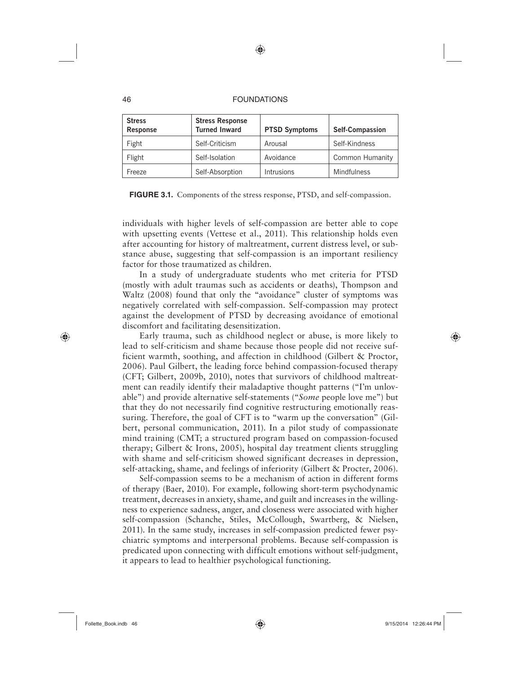⊕

| <b>Stress</b><br>Response | <b>Stress Response</b><br><b>Turned Inward</b> | <b>PTSD Symptoms</b> | <b>Self-Compassion</b> |
|---------------------------|------------------------------------------------|----------------------|------------------------|
| Fight                     | Self-Criticism                                 | Arousal              | Self-Kindness          |
| Flight                    | Self-Isolation                                 | Avoidance            | <b>Common Humanity</b> |
| Freeze                    | Self-Absorption                                | <b>Intrusions</b>    | Mindfulness            |

**FIGURE 3.1.** Components of the stress response, PTSD, and self-compassion.

individuals with higher levels of self-compassion are better able to cope with upsetting events (Vettese et al., 2011). This relationship holds even after accounting for history of maltreatment, current distress level, or substance abuse, suggesting that self-compassion is an important resiliency factor for those traumatized as children.

In a study of undergraduate students who met criteria for PTSD (mostly with adult traumas such as accidents or deaths), Thompson and Waltz (2008) found that only the "avoidance" cluster of symptoms was negatively correlated with self-compassion. Self-compassion may protect against the development of PTSD by decreasing avoidance of emotional discomfort and facilitating desensitization.

Early trauma, such as childhood neglect or abuse, is more likely to lead to self-criticism and shame because those people did not receive sufficient warmth, soothing, and affection in childhood (Gilbert & Proctor, 2006). Paul Gilbert, the leading force behind compassion-focused therapy (CFT; Gilbert, 2009b, 2010), notes that survivors of childhood maltreatment can readily identify their maladaptive thought patterns ("I'm unlovable") and provide alternative self-statements ("*Some* people love me") but that they do not necessarily find cognitive restructuring emotionally reassuring. Therefore, the goal of CFT is to "warm up the conversation" (Gilbert, personal communication, 2011). In a pilot study of compassionate mind training (CMT; a structured program based on compassion-focused therapy; Gilbert & Irons, 2005), hospital day treatment clients struggling with shame and self-criticism showed significant decreases in depression, self-attacking, shame, and feelings of inferiority (Gilbert & Procter, 2006).

Self-compassion seems to be a mechanism of action in different forms of therapy (Baer, 2010). For example, following short-term psychodynamic treatment, decreases in anxiety, shame, and guilt and increases in the willingness to experience sadness, anger, and closeness were associated with higher self-compassion (Schanche, Stiles, McCollough, Swartberg, & Nielsen, 2011). In the same study, increases in self-compassion predicted fewer psychiatric symptoms and interpersonal problems. Because self-compassion is predicated upon connecting with difficult emotions without self-judgment, it appears to lead to healthier psychological functioning.

 $\bigcirc$ 

 $\bigcirc$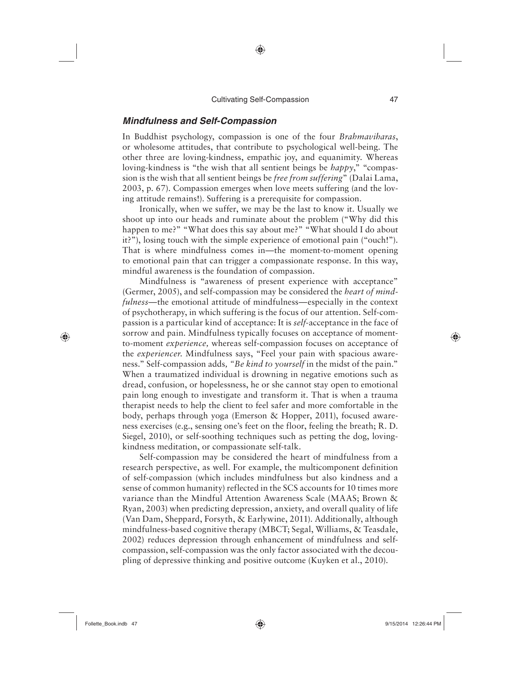⊕

# **Mindfulness and Self-Compassion**

In Buddhist psychology, compassion is one of the four *Brahmaviharas*, or wholesome attitudes, that contribute to psychological well-being. The other three are loving-kindness, empathic joy, and equanimity. Whereas loving-kindness is "the wish that all sentient beings be *happy*," "compassion is the wish that all sentient beings be *free from suffering*" (Dalai Lama, 2003, p. 67). Compassion emerges when love meets suffering (and the loving attitude remains!). Suffering is a prerequisite for compassion.

Ironically, when we suffer, we may be the last to know it. Usually we shoot up into our heads and ruminate about the problem ("Why did this happen to me?" "What does this say about me?" "What should I do about it?"), losing touch with the simple experience of emotional pain ("ouch!"). That is where mindfulness comes in—the moment-to-moment opening to emotional pain that can trigger a compassionate response. In this way, mindful awareness is the foundation of compassion.

Mindfulness is "awareness of present experience with acceptance" (Germer, 2005), and self-compassion may be considered the *heart of mindfulness*—the emotional attitude of mindfulness—especially in the context of psychotherapy, in which suffering is the focus of our attention. Self-compassion is a particular kind of acceptance: It is *self*-acceptance in the face of sorrow and pain. Mindfulness typically focuses on acceptance of momentto-moment *experience,* whereas self-compassion focuses on acceptance of the *experiencer*. Mindfulness says, "Feel your pain with spacious awareness." Self-compassion adds*, "Be kind to yourself* in the midst of the pain." When a traumatized individual is drowning in negative emotions such as dread, confusion, or hopelessness, he or she cannot stay open to emotional pain long enough to investigate and transform it. That is when a trauma therapist needs to help the client to feel safer and more comfortable in the body, perhaps through yoga (Emerson & Hopper, 2011), focused awareness exercises (e.g., sensing one's feet on the floor, feeling the breath; R. D. Siegel, 2010), or self-soothing techniques such as petting the dog, lovingkindness meditation, or compassionate self-talk.

Self-compassion may be considered the heart of mindfulness from a research perspective, as well. For example, the multicomponent definition of self-compassion (which includes mindfulness but also kindness and a sense of common humanity) reflected in the SCS accounts for 10 times more variance than the Mindful Attention Awareness Scale (MAAS; Brown & Ryan, 2003) when predicting depression, anxiety, and overall quality of life (Van Dam, Sheppard, Forsyth, & Earlywine, 2011). Additionally, although mindfulness-based cognitive therapy (MBCT; Segal, Williams, & Teasdale, 2002) reduces depression through enhancement of mindfulness and selfcompassion, self-compassion was the only factor associated with the decoupling of depressive thinking and positive outcome (Kuyken et al., 2010).

 $\bigcirc$ 

 $\bigcirc$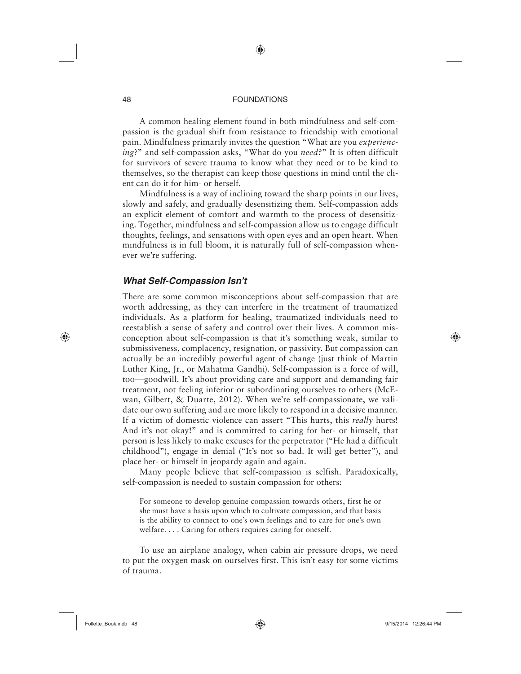♠

A common healing element found in both mindfulness and self-compassion is the gradual shift from resistance to friendship with emotional pain. Mindfulness primarily invites the question "What are you *experiencing*?" and self-compassion asks, "What do you *need?*" It is often difficult for survivors of severe trauma to know what they need or to be kind to themselves, so the therapist can keep those questions in mind until the client can do it for him- or herself.

Mindfulness is a way of inclining toward the sharp points in our lives, slowly and safely, and gradually desensitizing them. Self-compassion adds an explicit element of comfort and warmth to the process of desensitizing. Together, mindfulness and self-compassion allow us to engage difficult thoughts, feelings, and sensations with open eyes and an open heart. When mindfulness is in full bloom, it is naturally full of self-compassion whenever we're suffering.

# **What Self-Compassion Isn't**

There are some common misconceptions about self-compassion that are worth addressing, as they can interfere in the treatment of traumatized individuals. As a platform for healing, traumatized individuals need to reestablish a sense of safety and control over their lives. A common misconception about self-compassion is that it's something weak, similar to submissiveness, complacency, resignation, or passivity. But compassion can actually be an incredibly powerful agent of change (just think of Martin Luther King, Jr., or Mahatma Gandhi). Self-compassion is a force of will, too—goodwill. It's about providing care and support and demanding fair treatment, not feeling inferior or subordinating ourselves to others (McEwan, Gilbert, & Duarte, 2012). When we're self-compassionate, we validate our own suffering and are more likely to respond in a decisive manner. If a victim of domestic violence can assert "This hurts, this *really* hurts! And it's not okay!" and is committed to caring for her- or himself, that person is less likely to make excuses for the perpetrator ("He had a difficult childhood"), engage in denial ("It's not so bad. It will get better"), and place her- or himself in jeopardy again and again.

Many people believe that self-compassion is selfish. Paradoxically, self-compassion is needed to sustain compassion for others:

For someone to develop genuine compassion towards others, first he or she must have a basis upon which to cultivate compassion, and that basis is the ability to connect to one's own feelings and to care for one's own welfare. . . . Caring for others requires caring for oneself.

To use an airplane analogy, when cabin air pressure drops, we need to put the oxygen mask on ourselves first. This isn't easy for some victims of trauma.

⊕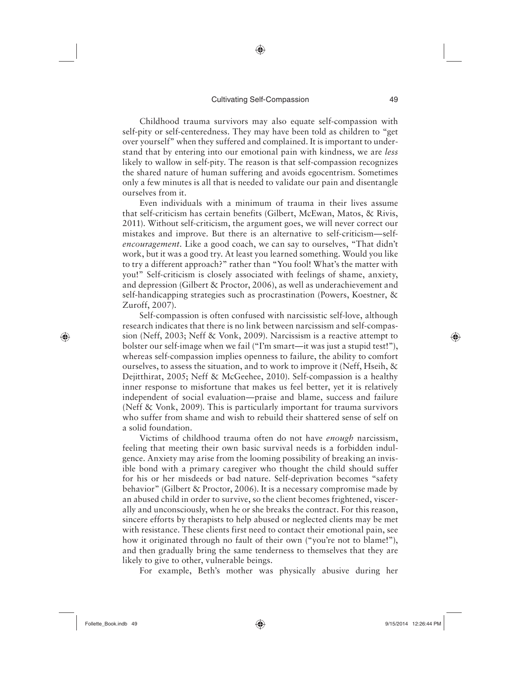⊕

Childhood trauma survivors may also equate self-compassion with self-pity or self-centeredness. They may have been told as children to "get over yourself" when they suffered and complained. It is important to understand that by entering into our emotional pain with kindness, we are *less* likely to wallow in self-pity. The reason is that self-compassion recognizes the shared nature of human suffering and avoids egocentrism. Sometimes only a few minutes is all that is needed to validate our pain and disentangle ourselves from it.

Even individuals with a minimum of trauma in their lives assume that self-criticism has certain benefits (Gilbert, McEwan, Matos, & Rivis, 2011). Without self-criticism, the argument goes, we will never correct our mistakes and improve. But there is an alternative to self-criticism—self*encouragement.* Like a good coach, we can say to ourselves, "That didn't work, but it was a good try. At least you learned something. Would you like to try a different approach?" rather than "You fool! What's the matter with you!" Self-criticism is closely associated with feelings of shame, anxiety, and depression (Gilbert & Proctor, 2006), as well as underachievement and self-handicapping strategies such as procrastination (Powers, Koestner, & Zuroff, 2007).

Self-compassion is often confused with narcissistic self-love, although research indicates that there is no link between narcissism and self-compassion (Neff, 2003; Neff & Vonk, 2009). Narcissism is a reactive attempt to bolster our self-image when we fail ("I'm smart—it was just a stupid test!"), whereas self-compassion implies openness to failure, the ability to comfort ourselves, to assess the situation, and to work to improve it (Neff, Hseih, & Dejitthirat, 2005; Neff & McGeehee, 2010). Self-compassion is a healthy inner response to misfortune that makes us feel better, yet it is relatively independent of social evaluation—praise and blame, success and failure (Neff & Vonk, 2009). This is particularly important for trauma survivors who suffer from shame and wish to rebuild their shattered sense of self on a solid foundation.

Victims of childhood trauma often do not have *enough* narcissism, feeling that meeting their own basic survival needs is a forbidden indulgence. Anxiety may arise from the looming possibility of breaking an invisible bond with a primary caregiver who thought the child should suffer for his or her misdeeds or bad nature. Self-deprivation becomes "safety behavior" (Gilbert & Proctor, 2006). It is a necessary compromise made by an abused child in order to survive, so the client becomes frightened, viscerally and unconsciously, when he or she breaks the contract. For this reason, sincere efforts by therapists to help abused or neglected clients may be met with resistance. These clients first need to contact their emotional pain, see how it originated through no fault of their own ("you're not to blame!"), and then gradually bring the same tenderness to themselves that they are likely to give to other, vulnerable beings.

For example, Beth's mother was physically abusive during her

 $\bigcirc$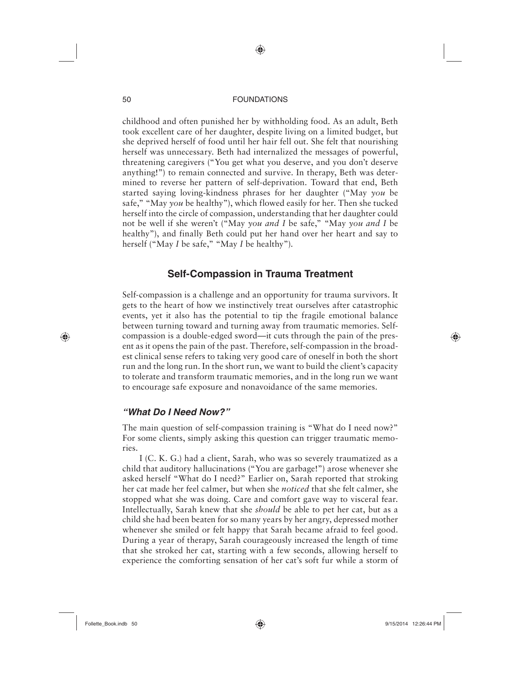♠

childhood and often punished her by withholding food. As an adult, Beth took excellent care of her daughter, despite living on a limited budget, but she deprived herself of food until her hair fell out. She felt that nourishing herself was unnecessary. Beth had internalized the messages of powerful, threatening caregivers ("You get what you deserve, and you don't deserve anything!") to remain connected and survive. In therapy, Beth was determined to reverse her pattern of self-deprivation. Toward that end, Beth started saying loving-kindness phrases for her daughter ("May *you* be safe," "May *you* be healthy"), which flowed easily for her. Then she tucked herself into the circle of compassion, understanding that her daughter could not be well if she weren't ("May *you and I* be safe," "May *you and I* be healthy"), and finally Beth could put her hand over her heart and say to herself ("May *I* be safe," "May *I* be healthy").

# **Self-Compassion in Trauma Treatment**

Self-compassion is a challenge and an opportunity for trauma survivors. It gets to the heart of how we instinctively treat ourselves after catastrophic events, yet it also has the potential to tip the fragile emotional balance between turning toward and turning away from traumatic memories. Selfcompassion is a double-edged sword—it cuts through the pain of the present as it opens the pain of the past. Therefore, self-compassion in the broadest clinical sense refers to taking very good care of oneself in both the short run and the long run. In the short run, we want to build the client's capacity to tolerate and transform traumatic memories, and in the long run we want to encourage safe exposure and nonavoidance of the same memories.

# **"What Do I Need Now?"**

The main question of self-compassion training is "What do I need now?" For some clients, simply asking this question can trigger traumatic memories.

I (C. K. G.) had a client, Sarah, who was so severely traumatized as a child that auditory hallucinations ("You are garbage!") arose whenever she asked herself "What do I need?" Earlier on, Sarah reported that stroking her cat made her feel calmer, but when she *noticed* that she felt calmer, she stopped what she was doing. Care and comfort gave way to visceral fear. Intellectually, Sarah knew that she *should* be able to pet her cat, but as a child she had been beaten for so many years by her angry, depressed mother whenever she smiled or felt happy that Sarah became afraid to feel good. During a year of therapy, Sarah courageously increased the length of time that she stroked her cat, starting with a few seconds, allowing herself to experience the comforting sensation of her cat's soft fur while a storm of

 $\bigcirc$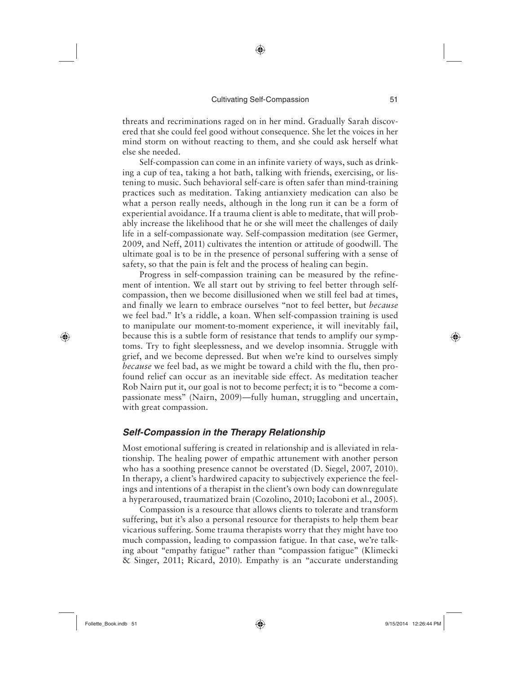♠

threats and recriminations raged on in her mind. Gradually Sarah discovered that she could feel good without consequence. She let the voices in her mind storm on without reacting to them, and she could ask herself what else she needed.

Self-compassion can come in an infinite variety of ways, such as drinking a cup of tea, taking a hot bath, talking with friends, exercising, or listening to music. Such behavioral self-care is often safer than mind-training practices such as meditation. Taking antianxiety medication can also be what a person really needs, although in the long run it can be a form of experiential avoidance. If a trauma client is able to meditate, that will probably increase the likelihood that he or she will meet the challenges of daily life in a self-compassionate way. Self-compassion meditation (see Germer, 2009, and Neff, 2011) cultivates the intention or attitude of goodwill. The ultimate goal is to be in the presence of personal suffering with a sense of safety, so that the pain is felt and the process of healing can begin.

Progress in self-compassion training can be measured by the refinement of intention. We all start out by striving to feel better through selfcompassion, then we become disillusioned when we still feel bad at times, and finally we learn to embrace ourselves "not to feel better, but *because* we feel bad." It's a riddle, a koan. When self-compassion training is used to manipulate our moment-to-moment experience, it will inevitably fail, because this is a subtle form of resistance that tends to amplify our symptoms. Try to fight sleeplessness, and we develop insomnia. Struggle with grief, and we become depressed. But when we're kind to ourselves simply *because* we feel bad, as we might be toward a child with the flu, then profound relief can occur as an inevitable side effect. As meditation teacher Rob Nairn put it, our goal is not to become perfect; it is to "become a compassionate mess" (Nairn, 2009)—fully human, struggling and uncertain, with great compassion.

# **Self-Compassion in the Therapy Relationship**

Most emotional suffering is created in relationship and is alleviated in relationship. The healing power of empathic attunement with another person who has a soothing presence cannot be overstated (D. Siegel, 2007, 2010). In therapy, a client's hardwired capacity to subjectively experience the feelings and intentions of a therapist in the client's own body can downregulate a hyperaroused, traumatized brain (Cozolino, 2010; Iacoboni et al., 2005).

Compassion is a resource that allows clients to tolerate and transform suffering, but it's also a personal resource for therapists to help them bear vicarious suffering. Some trauma therapists worry that they might have too much compassion, leading to compassion fatigue. In that case, we're talking about "empathy fatigue" rather than "compassion fatigue" (Klimecki & Singer, 2011; Ricard, 2010). Empathy is an "accurate understanding

 $\bigcirc$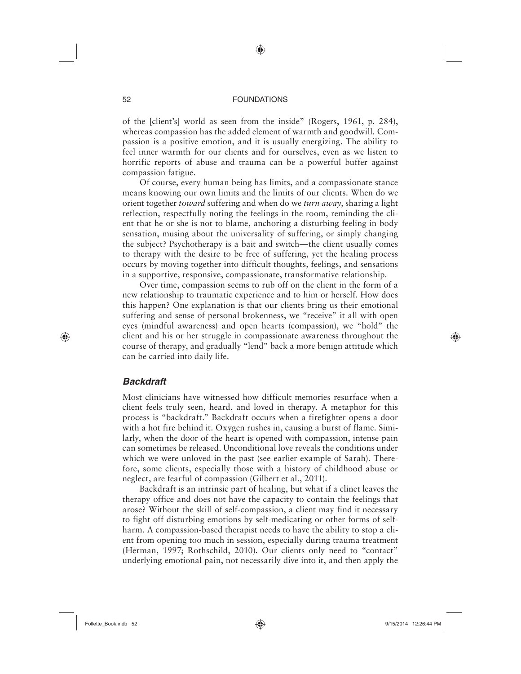⊕

of the [client's] world as seen from the inside" (Rogers, 1961, p. 284), whereas compassion has the added element of warmth and goodwill. Compassion is a positive emotion, and it is usually energizing. The ability to feel inner warmth for our clients and for ourselves, even as we listen to horrific reports of abuse and trauma can be a powerful buffer against compassion fatigue.

Of course, every human being has limits, and a compassionate stance means knowing our own limits and the limits of our clients. When do we orient together *toward* suffering and when do we *turn away*, sharing a light reflection, respectfully noting the feelings in the room, reminding the client that he or she is not to blame, anchoring a disturbing feeling in body sensation, musing about the universality of suffering, or simply changing the subject? Psychotherapy is a bait and switch—the client usually comes to therapy with the desire to be free of suffering, yet the healing process occurs by moving together into difficult thoughts, feelings, and sensations in a supportive, responsive, compassionate, transformative relationship.

Over time, compassion seems to rub off on the client in the form of a new relationship to traumatic experience and to him or herself. How does this happen? One explanation is that our clients bring us their emotional suffering and sense of personal brokenness, we "receive" it all with open eyes (mindful awareness) and open hearts (compassion), we "hold" the client and his or her struggle in compassionate awareness throughout the course of therapy, and gradually "lend" back a more benign attitude which can be carried into daily life.

# **Backdraft**

 $\bigcirc$ 

Most clinicians have witnessed how difficult memories resurface when a client feels truly seen, heard, and loved in therapy. A metaphor for this process is "backdraft." Backdraft occurs when a firefighter opens a door with a hot fire behind it. Oxygen rushes in, causing a burst of flame. Similarly, when the door of the heart is opened with compassion, intense pain can sometimes be released. Unconditional love reveals the conditions under which we were unloved in the past (see earlier example of Sarah). Therefore, some clients, especially those with a history of childhood abuse or neglect, are fearful of compassion (Gilbert et al., 2011).

Backdraft is an intrinsic part of healing, but what if a clinet leaves the therapy office and does not have the capacity to contain the feelings that arose? Without the skill of self-compassion, a client may find it necessary to fight off disturbing emotions by self-medicating or other forms of selfharm. A compassion-based therapist needs to have the ability to stop a client from opening too much in session, especially during trauma treatment (Herman, 1997; Rothschild, 2010). Our clients only need to "contact" underlying emotional pain, not necessarily dive into it, and then apply the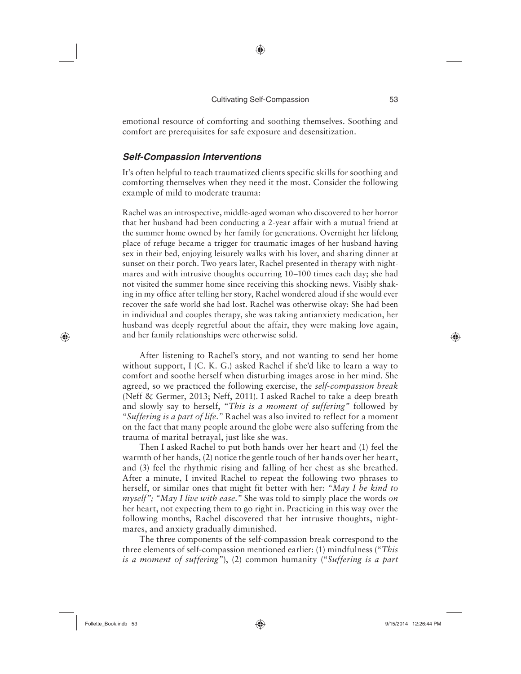♠

emotional resource of comforting and soothing themselves. Soothing and comfort are prerequisites for safe exposure and desensitization.

# **Self-Compassion Interventions**

It's often helpful to teach traumatized clients specific skills for soothing and comforting themselves when they need it the most. Consider the following example of mild to moderate trauma:

Rachel was an introspective, middle-aged woman who discovered to her horror that her husband had been conducting a 2-year affair with a mutual friend at the summer home owned by her family for generations. Overnight her lifelong place of refuge became a trigger for traumatic images of her husband having sex in their bed, enjoying leisurely walks with his lover, and sharing dinner at sunset on their porch. Two years later, Rachel presented in therapy with nightmares and with intrusive thoughts occurring 10–100 times each day; she had not visited the summer home since receiving this shocking news. Visibly shaking in my office after telling her story, Rachel wondered aloud if she would ever recover the safe world she had lost. Rachel was otherwise okay: She had been in individual and couples therapy, she was taking antianxiety medication, her husband was deeply regretful about the affair, they were making love again, and her family relationships were otherwise solid.

After listening to Rachel's story, and not wanting to send her home without support, I (C. K. G.) asked Rachel if she'd like to learn a way to comfort and soothe herself when disturbing images arose in her mind. She agreed, so we practiced the following exercise, the *self-compassion break* (Neff & Germer, 2013; Neff, 2011). I asked Rachel to take a deep breath and slowly say to herself, "*This is a moment of suffering"* followed by "*Suffering is a part of life."* Rachel was also invited to reflect for a moment on the fact that many people around the globe were also suffering from the trauma of marital betrayal, just like she was.

Then I asked Rachel to put both hands over her heart and (1) feel the warmth of her hands, (2) notice the gentle touch of her hands over her heart, and (3) feel the rhythmic rising and falling of her chest as she breathed. After a minute, I invited Rachel to repeat the following two phrases to herself, or similar ones that might fit better with her: *"May I be kind to myself"; "May I live with ease."* She was told to simply place the words *on* her heart, not expecting them to go right in. Practicing in this way over the following months, Rachel discovered that her intrusive thoughts, nightmares, and anxiety gradually diminished.

The three components of the self-compassion break correspond to the three elements of self-compassion mentioned earlier: (1) mindfulness ("*This is a moment of suffering"*), (2) common humanity ("*Suffering is a part* 

 $\bigcirc$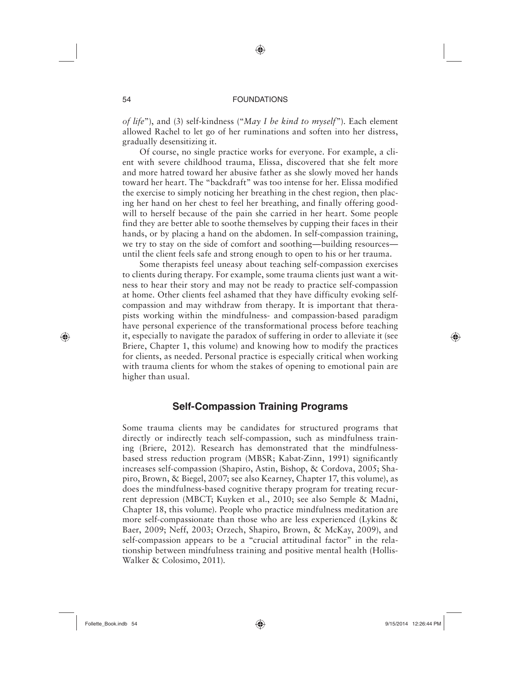⊕

*of life*"), and (3) self-kindness ("*May I be kind to myself*"). Each element allowed Rachel to let go of her ruminations and soften into her distress, gradually desensitizing it.

Of course, no single practice works for everyone. For example, a client with severe childhood trauma, Elissa, discovered that she felt more and more hatred toward her abusive father as she slowly moved her hands toward her heart. The "backdraft" was too intense for her. Elissa modified the exercise to simply noticing her breathing in the chest region, then placing her hand on her chest to feel her breathing, and finally offering goodwill to herself because of the pain she carried in her heart. Some people find they are better able to soothe themselves by cupping their faces in their hands, or by placing a hand on the abdomen. In self-compassion training, we try to stay on the side of comfort and soothing—building resources until the client feels safe and strong enough to open to his or her trauma.

Some therapists feel uneasy about teaching self-compassion exercises to clients during therapy. For example, some trauma clients just want a witness to hear their story and may not be ready to practice self-compassion at home. Other clients feel ashamed that they have difficulty evoking selfcompassion and may withdraw from therapy. It is important that therapists working within the mindfulness- and compassion-based paradigm have personal experience of the transformational process before teaching it, especially to navigate the paradox of suffering in order to alleviate it (see Briere, Chapter 1, this volume) and knowing how to modify the practices for clients, as needed. Personal practice is especially critical when working with trauma clients for whom the stakes of opening to emotional pain are higher than usual.

# **Self-Compassion Training Programs**

Some trauma clients may be candidates for structured programs that directly or indirectly teach self-compassion, such as mindfulness training (Briere, 2012). Research has demonstrated that the mindfulnessbased stress reduction program (MBSR; Kabat-Zinn, 1991) significantly increases self-compassion (Shapiro, Astin, Bishop, & Cordova, 2005; Shapiro, Brown, & Biegel, 2007; see also Kearney, Chapter 17, this volume), as does the mindfulness-based cognitive therapy program for treating recurrent depression (MBCT; Kuyken et al., 2010; see also Semple & Madni, Chapter 18, this volume). People who practice mindfulness meditation are more self-compassionate than those who are less experienced (Lykins & Baer, 2009; Neff, 2003; Orzech, Shapiro, Brown, & McKay, 2009), and self-compassion appears to be a "crucial attitudinal factor" in the relationship between mindfulness training and positive mental health (Hollis-Walker & Colosimo, 2011).

 $\bigcirc$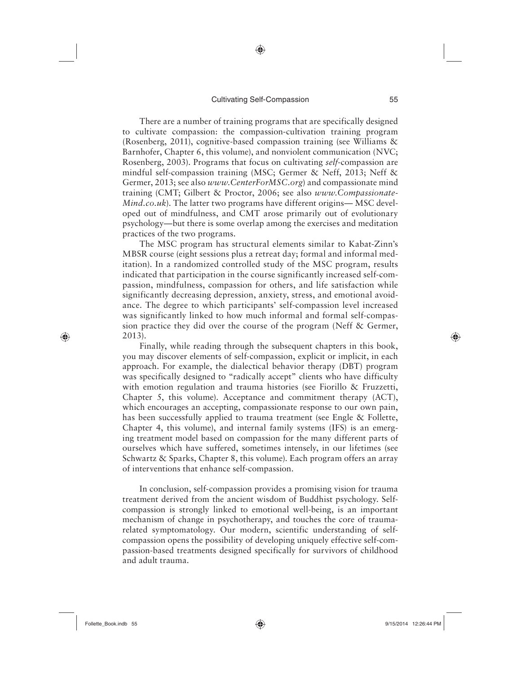⊕

There are a number of training programs that are specifically designed to cultivate compassion: the compassion-cultivation training program (Rosenberg, 2011), cognitive-based compassion training (see Williams & Barnhofer, Chapter 6, this volume), and nonviolent communication (NVC; Rosenberg, 2003). Programs that focus on cultivating *self*-compassion are mindful self-compassion training (MSC; Germer & Neff, 2013; Neff & Germer, 2013; see also *www.CenterForMSC.org*) and compassionate mind training (CMT; Gilbert & Proctor, 2006; see also *www.Compassionate-Mind.co.uk*). The latter two programs have different origins— MSC developed out of mindfulness, and CMT arose primarily out of evolutionary psychology—but there is some overlap among the exercises and meditation practices of the two programs.

The MSC program has structural elements similar to Kabat-Zinn's MBSR course (eight sessions plus a retreat day; formal and informal meditation). In a randomized controlled study of the MSC program, results indicated that participation in the course significantly increased self-compassion, mindfulness, compassion for others, and life satisfaction while significantly decreasing depression, anxiety, stress, and emotional avoidance. The degree to which participants' self-compassion level increased was significantly linked to how much informal and formal self-compassion practice they did over the course of the program (Neff & Germer, 2013).

Finally, while reading through the subsequent chapters in this book, you may discover elements of self-compassion, explicit or implicit, in each approach. For example, the dialectical behavior therapy (DBT) program was specifically designed to "radically accept" clients who have difficulty with emotion regulation and trauma histories (see Fiorillo & Fruzzetti, Chapter 5, this volume). Acceptance and commitment therapy (ACT), which encourages an accepting, compassionate response to our own pain, has been successfully applied to trauma treatment (see Engle & Follette, Chapter 4, this volume), and internal family systems (IFS) is an emerging treatment model based on compassion for the many different parts of ourselves which have suffered, sometimes intensely, in our lifetimes (see Schwartz & Sparks, Chapter 8, this volume). Each program offers an array of interventions that enhance self-compassion.

In conclusion, self-compassion provides a promising vision for trauma treatment derived from the ancient wisdom of Buddhist psychology. Selfcompassion is strongly linked to emotional well-being, is an important mechanism of change in psychotherapy, and touches the core of traumarelated symptomatology. Our modern, scientific understanding of selfcompassion opens the possibility of developing uniquely effective self-compassion-based treatments designed specifically for survivors of childhood and adult trauma.

 $\bigcirc$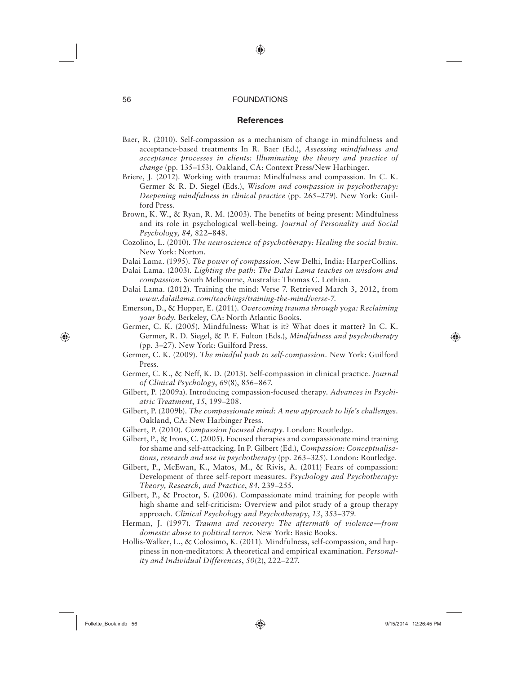⊕

#### **References**

- Baer, R. (2010). Self-compassion as a mechanism of change in mindfulness and acceptance-based treatments In R. Baer (Ed.), *Assessing mindfulness and acceptance processes in clients: Illuminating the theory and practice of change* (pp. 135–153). Oakland, CA: Context Press/New Harbinger.
- Briere, J. (2012). Working with trauma: Mindfulness and compassion. In C. K. Germer & R. D. Siegel (Eds.), *Wisdom and compassion in psychotherapy: Deepening mindfulness in clinical practice* (pp. 265–279). New York: Guilford Press.
- Brown, K. W., & Ryan, R. M. (2003). The benefits of being present: Mindfulness and its role in psychological well-being. *Journal of Personality and Social Psychology, 84,* 822–848.
- Cozolino, L. (2010). *The neuroscience of psychotherapy: Healing the social brain*. New York: Norton.
- Dalai Lama. (1995). *The power of compassion*. New Delhi, India: HarperCollins.
- Dalai Lama. (2003). *Lighting the path: The Dalai Lama teaches on wisdom and compassion.* South Melbourne, Australia: Thomas C. Lothian.
- Dalai Lama. (2012). Training the mind: Verse 7. Retrieved March 3, 2012, from *www.dalailama.com/teachings/training-the-mind/verse-7.*
- Emerson, D., & Hopper, E. (2011). *Overcoming trauma through yoga: Reclaiming your body.* Berkeley, CA: North Atlantic Books.
- Germer, C. K. (2005). Mindfulness: What is it? What does it matter? In C. K. Germer, R. D. Siegel, & P. F. Fulton (Eds.), *Mindfulness and psychotherapy*  (pp. 3–27)*.* New York: Guilford Press.
- Germer, C. K. (2009). *The mindful path to self-compassion.* New York: Guilford Press.
- Germer, C. K., & Neff, K. D. (2013). Self-compassion in clinical practice. *Journal of Clinical Psychology*, *69*(8), 856–867*.*
- Gilbert, P. (2009a). Introducing compassion-focused therapy. *Advances in Psychiatric Treatment*, *15*, 199–208.
- Gilbert, P. (2009b). *The compassionate mind: A new approach to life's challenges.* Oakland, CA: New Harbinger Press.
- Gilbert, P. (2010). *Compassion focused therapy.* London: Routledge.
- Gilbert, P., & Irons, C. (2005). Focused therapies and compassionate mind training for shame and self-attacking. In P. Gilbert (Ed.), *Compassion: Conceptualisations, research and use in psychotherapy* (pp. 263–325). London: Routledge.
- Gilbert, P., McEwan, K., Matos, M., & Rivis, A. (2011) Fears of compassion: Development of three self-report measures. *Psychology and Psychotherapy: Theory, Research, and Practice*, *84*, 239–255.
- Gilbert, P., & Proctor, S. (2006). Compassionate mind training for people with high shame and self-criticism: Overview and pilot study of a group therapy approach. *Clinical Psychology and Psychotherapy*, *13*, 353–379.
- Herman, J. (1997). *Trauma and recovery: The aftermath of violence—from domestic abuse to political terror*. New York: Basic Books.
- Hollis-Walker, L., & Colosimo, K. (2011). Mindfulness, self-compassion, and happiness in non-meditators: A theoretical and empirical examination. *Personality and Individual Differences*, *50*(2), 222–227.

 $\bigcirc$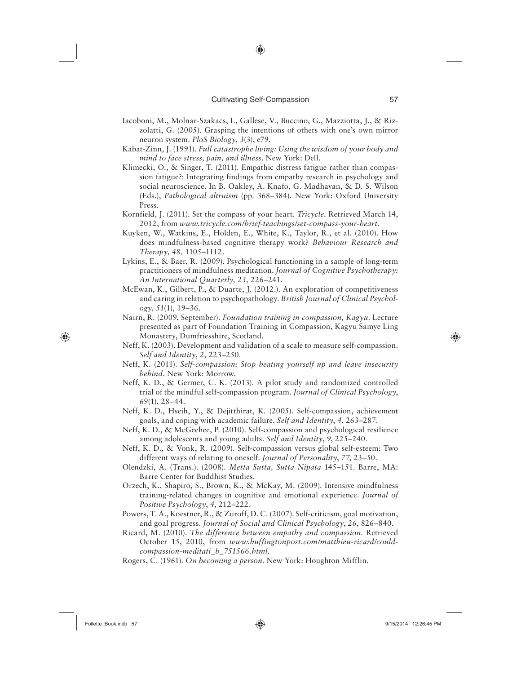⊕

- Iacoboni, M., Molnar-Szakacs, I., Gallese, V., Buccino, G., Mazziotta, J., & Rizzolatti, G. (2005). Grasping the intentions of others with one's own mirror neuron system. *PloS Biology*, *3*(3), e79.
- Kabat-Zinn, J. (1991). *Full catastrophe living: Using the wisdom of your body and mind to face stress, pain, and illness*. New York: Dell.
- Klimecki, O., & Singer, T. (2011). Empathic distress fatigue rather than compassion fatigue?: Integrating findings from empathy research in psychology and social neuroscience. In B. Oakley, A. Knafo, G. Madhavan, & D. S. Wilson (Eds.), *Pathological altruism* (pp. 368–384). New York: Oxford University Press.
- Kornfield, J. (2011). Set the compass of your heart. *Tricycle*. Retrieved March 14, 2012, from *www.tricycle.com/brief-teachings/set-compass-your-heart.*
- Kuyken, W., Watkins, E., Holden, E., White, K., Taylor, R., et al. (2010). How does mindfulness-based cognitive therapy work? *Behaviour Research and Therapy, 48,* 1105–1112.
- Lykins, E., & Baer, R. (2009). Psychological functioning in a sample of long-term practitioners of mindfulness meditation. *Journal of Cognitive Psychotherapy: An International Quarterly, 23,* 226–241*.*
- McEwan, K., Gilbert, P., & Duarte, J. (2012.). An exploration of competitiveness and caring in relation to psychopathology. *British Journal of Clinical Psychology, 51*(1), 19–36.
- Nairn, R. (2009, September). *Foundation training in compassion, Kagyu*. Lecture presented as part of Foundation Training in Compassion, Kagyu Samye Ling Monastery, Dumfriesshire, Scotland.
- Neff, K. (2003). Development and validation of a scale to measure self-compassion. *Self and Identity*, *2*, 223–250.
- Neff, K. (2011). *Self-compassion: Stop beating yourself up and leave insecurity behind.* New York: Morrow.
- Neff, K. D., & Germer, C. K. (2013). A pilot study and randomized controlled trial of the mindful self-compassion program. *Journal of Clinical Psychology*, *69*(1), 28–44.
- Neff, K. D., Hseih, Y., & Dejitthirat, K. (2005). Self-compassion, achievement goals, and coping with academic failure. *Self and Identity*, *4*, 263–287.
- Neff, K. D., & McGeehee, P. (2010). Self-compassion and psychological resilience among adolescents and young adults. *Self and Identity*, *9*, 225–240.
- Neff, K. D., & Vonk, R. (2009). Self-compassion versus global self-esteem: Two different ways of relating to oneself. *Journal of Personality*, *77*, 23–50.
- Olendzki, A. (Trans.). (2008). *Metta Sutta, Sutta Nipata* 145–151. Barre, MA: Barre Center for Buddhist Studies.
- Orzech, K., Shapiro, S., Brown, K., & McKay, M. (2009). Intensive mindfulness training-related changes in cognitive and emotional experience. *Journal of Positive Psychology*, *4*, 212–222.
- Powers, T. A., Koestner, R., & Zuroff, D. C. (2007). Self-criticism, goal motivation, and goal progress. *Journal of Social and Clinical Psychology*, *26*, 826–840.
- Ricard, M. (2010). *The difference between empathy and compassion*. Retrieved October 15, 2010, from *www.huffingtonpost.com/matthieu-ricard/couldcompassion-meditati\_b\_751566.html.*
- Rogers, C. (1961). *On becoming a person*. New York: Houghton Mifflin.

 $\bigcirc$